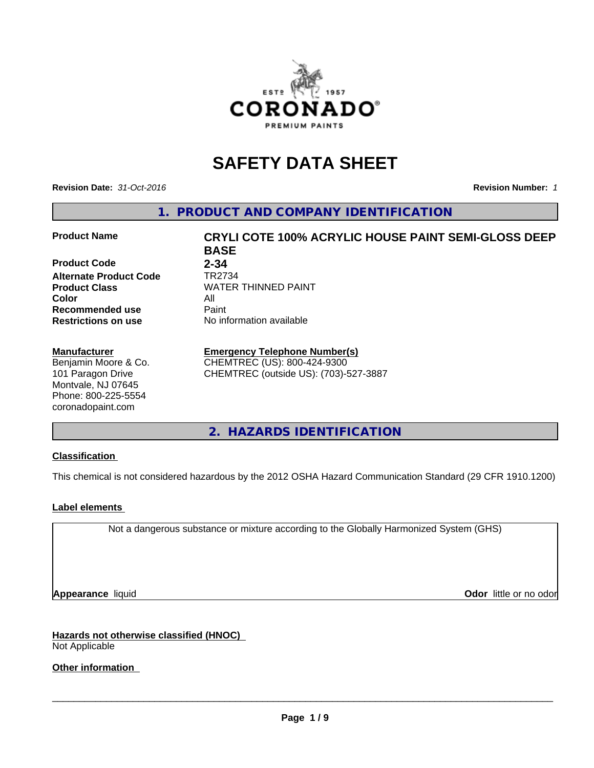

# **SAFETY DATA SHEET**

**Revision Date:** *31-Oct-2016* **Revision Number:** *1*

**1. PRODUCT AND COMPANY IDENTIFICATION**

#### **Product Name CRYLI COTE 100% ACRYLIC HOUSE PAINT SEMI-GLOSS DEEP**

**Product Code 2-34**<br>**Alternate Product Code 7R2734 Alternate Product Code**<br>Product Class **Color** All **Recommended use** Paint<br> **Restrictions on use** No inf

#### **Manufacturer**

Benjamin Moore & Co. 101 Paragon Drive Montvale, NJ 07645 Phone: 800-225-5554 coronadopaint.com

**BASE Product Class** WATER THINNED PAINT<br>
Color **No information available** 

## **Emergency Telephone Number(s)**

CHEMTREC (US): 800-424-9300 CHEMTREC (outside US): (703)-527-3887

**2. HAZARDS IDENTIFICATION**

## **Classification**

This chemical is not considered hazardous by the 2012 OSHA Hazard Communication Standard (29 CFR 1910.1200)

## **Label elements**

Not a dangerous substance or mixture according to the Globally Harmonized System (GHS)

**Appearance** liquid **Odor in the original of the original of the original of the original of the original of the original of the original of the original of the original of the original of the original of the original of t** 

**Hazards not otherwise classified (HNOC)** Not Applicable

**Other information**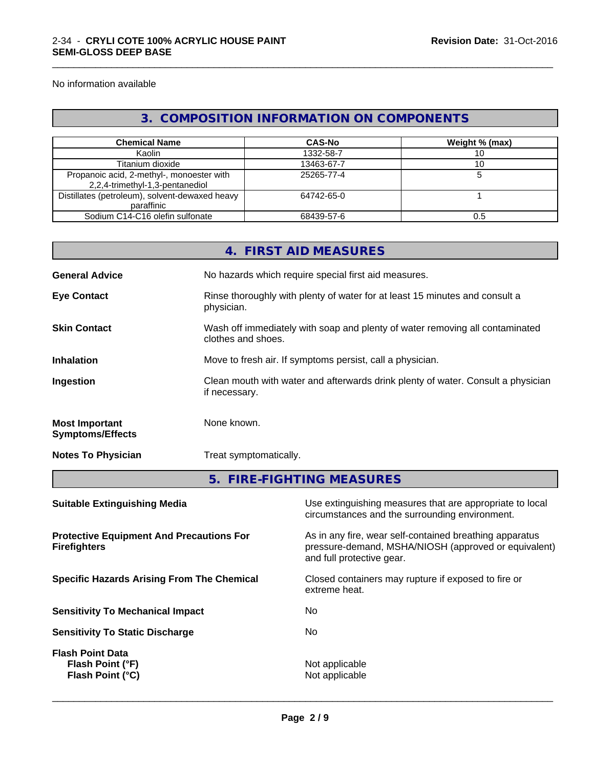No information available

## **3. COMPOSITION INFORMATION ON COMPONENTS**

\_\_\_\_\_\_\_\_\_\_\_\_\_\_\_\_\_\_\_\_\_\_\_\_\_\_\_\_\_\_\_\_\_\_\_\_\_\_\_\_\_\_\_\_\_\_\_\_\_\_\_\_\_\_\_\_\_\_\_\_\_\_\_\_\_\_\_\_\_\_\_\_\_\_\_\_\_\_\_\_\_\_\_\_\_\_\_\_\_\_\_\_\_

| <b>Chemical Name</b>                                                         | <b>CAS-No</b> | Weight % (max) |
|------------------------------------------------------------------------------|---------------|----------------|
| Kaolin                                                                       | 1332-58-7     |                |
| Titanium dioxide                                                             | 13463-67-7    |                |
| Propanoic acid, 2-methyl-, monoester with<br>2,2,4-trimethyl-1,3-pentanediol | 25265-77-4    |                |
| Distillates (petroleum), solvent-dewaxed heavy<br>paraffinic                 | 64742-65-0    |                |
| Sodium C14-C16 olefin sulfonate                                              | 68439-57-6    | U.S            |

|                                                                        |                        | 4. FIRST AID MEASURES                                                                                           |  |
|------------------------------------------------------------------------|------------------------|-----------------------------------------------------------------------------------------------------------------|--|
| <b>General Advice</b>                                                  |                        | No hazards which require special first aid measures.                                                            |  |
| <b>Eye Contact</b>                                                     | physician.             | Rinse thoroughly with plenty of water for at least 15 minutes and consult a                                     |  |
| <b>Skin Contact</b>                                                    |                        | Wash off immediately with soap and plenty of water removing all contaminated<br>clothes and shoes.              |  |
| <b>Inhalation</b>                                                      |                        | Move to fresh air. If symptoms persist, call a physician.                                                       |  |
| Ingestion                                                              | if necessary.          | Clean mouth with water and afterwards drink plenty of water. Consult a physician                                |  |
| <b>Most Important</b><br><b>Symptoms/Effects</b>                       | None known.            |                                                                                                                 |  |
| <b>Notes To Physician</b>                                              | Treat symptomatically. |                                                                                                                 |  |
|                                                                        |                        | 5. FIRE-FIGHTING MEASURES                                                                                       |  |
| <b>Suitable Extinguishing Media</b>                                    |                        | Use extinguishing measures that are appropriate to local<br>circumstances and the surrounding environment.      |  |
| <b>Protective Equipment And Precautions For</b><br><b>Firefighters</b> |                        | As in any fire, wear self-contained breathing apparatus<br>pressure-demand, MSHA/NIOSH (approved or equivalent) |  |

**Specific Hazards Arising From The Chemical Closed containers may rupture if exposed to fire or** 

**Sensitivity To Mechanical Impact** No

**Sensitivity To Static Discharge** No

**Flash Point Data Flash Point (°F)**<br> **Flash Point (°C)**<br> **Flash Point (°C)**<br> **CO Flash Point (°C)** 

and full protective gear.

 $\overline{\phantom{a}}$  ,  $\overline{\phantom{a}}$  ,  $\overline{\phantom{a}}$  ,  $\overline{\phantom{a}}$  ,  $\overline{\phantom{a}}$  ,  $\overline{\phantom{a}}$  ,  $\overline{\phantom{a}}$  ,  $\overline{\phantom{a}}$  ,  $\overline{\phantom{a}}$  ,  $\overline{\phantom{a}}$  ,  $\overline{\phantom{a}}$  ,  $\overline{\phantom{a}}$  ,  $\overline{\phantom{a}}$  ,  $\overline{\phantom{a}}$  ,  $\overline{\phantom{a}}$  ,  $\overline{\phantom{a}}$ 

extreme heat.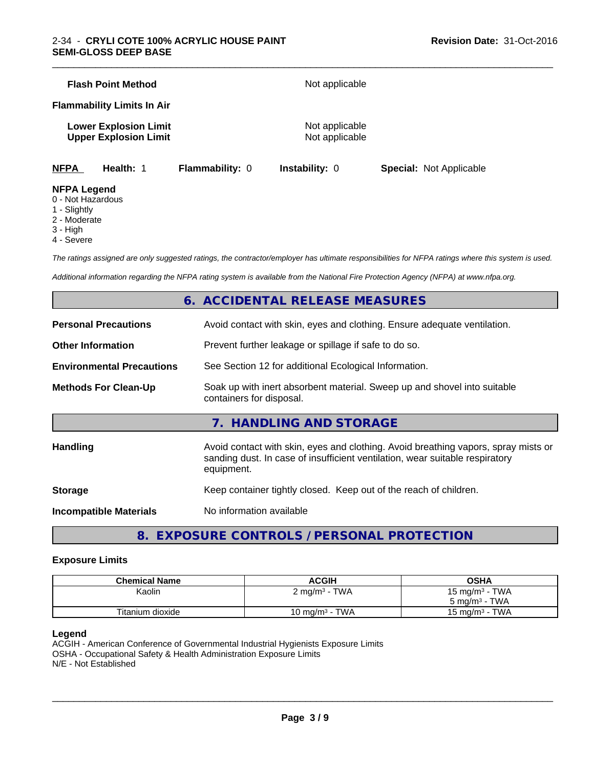|                    | <b>Flash Point Method</b>                                    |                        | Not applicable                   |                                |  |
|--------------------|--------------------------------------------------------------|------------------------|----------------------------------|--------------------------------|--|
|                    | <b>Flammability Limits In Air</b>                            |                        |                                  |                                |  |
|                    | <b>Lower Explosion Limit</b><br><b>Upper Explosion Limit</b> |                        | Not applicable<br>Not applicable |                                |  |
| <b>NFPA</b>        | Health: 1                                                    | <b>Flammability: 0</b> | <b>Instability: 0</b>            | <b>Special: Not Applicable</b> |  |
| <b>NFPA Legend</b> |                                                              |                        |                                  |                                |  |

\_\_\_\_\_\_\_\_\_\_\_\_\_\_\_\_\_\_\_\_\_\_\_\_\_\_\_\_\_\_\_\_\_\_\_\_\_\_\_\_\_\_\_\_\_\_\_\_\_\_\_\_\_\_\_\_\_\_\_\_\_\_\_\_\_\_\_\_\_\_\_\_\_\_\_\_\_\_\_\_\_\_\_\_\_\_\_\_\_\_\_\_\_

### 0 - Not Hazardous

- 1 Slightly
- 2 Moderate
- 
- 3 High
- 4 Severe

*The ratings assigned are only suggested ratings, the contractor/employer has ultimate responsibilities for NFPA ratings where this system is used.*

*Additional information regarding the NFPA rating system is available from the National Fire Protection Agency (NFPA) at www.nfpa.org.*

## **6. ACCIDENTAL RELEASE MEASURES**

| <b>Personal Precautions</b>      | Avoid contact with skin, eyes and clothing. Ensure adequate ventilation.                                                                                                         |
|----------------------------------|----------------------------------------------------------------------------------------------------------------------------------------------------------------------------------|
| <b>Other Information</b>         | Prevent further leakage or spillage if safe to do so.                                                                                                                            |
| <b>Environmental Precautions</b> | See Section 12 for additional Ecological Information.                                                                                                                            |
| <b>Methods For Clean-Up</b>      | Soak up with inert absorbent material. Sweep up and shovel into suitable<br>containers for disposal.                                                                             |
|                                  | 7. HANDLING AND STORAGE                                                                                                                                                          |
| <b>Handling</b>                  | Avoid contact with skin, eyes and clothing. Avoid breathing vapors, spray mists or<br>sanding dust. In case of insufficient ventilation, wear suitable respiratory<br>equipment. |
| <b>Storage</b>                   | Keep container tightly closed. Keep out of the reach of children.                                                                                                                |
| <b>Incompatible Materials</b>    | No information available                                                                                                                                                         |
|                                  |                                                                                                                                                                                  |

**8. EXPOSURE CONTROLS / PERSONAL PROTECTION**

### **Exposure Limits**

| <b>Chemical Name</b> | <b>ACGIH</b>                                      | OSHA                                   |
|----------------------|---------------------------------------------------|----------------------------------------|
| Kaolin               | <b>TWA</b><br>$\angle$ mg/m <sup>3</sup> - $\top$ | <b>TWA</b><br>15 mg/m <sup>3</sup> - 1 |
|                      |                                                   | TWA<br>$5 \text{ ma/m}^3$ -            |
| Titanium dioxide     | <b>TWA</b><br>$10 \text{ mg/m}^3 -$               | <b>TWA</b><br>15 ma/m $^3$             |

#### **Legend**

ACGIH - American Conference of Governmental Industrial Hygienists Exposure Limits OSHA - Occupational Safety & Health Administration Exposure Limits N/E - Not Established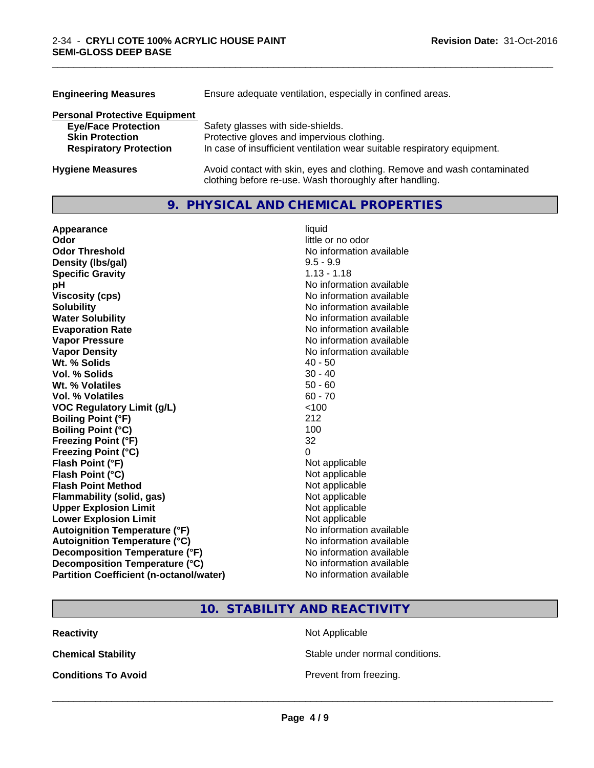| <b>Engineering Measures</b>          | Ensure adequate ventilation, especially in confined areas.                                                                          |  |
|--------------------------------------|-------------------------------------------------------------------------------------------------------------------------------------|--|
| <b>Personal Protective Equipment</b> |                                                                                                                                     |  |
| <b>Eye/Face Protection</b>           | Safety glasses with side-shields.                                                                                                   |  |
| <b>Skin Protection</b>               | Protective gloves and impervious clothing.                                                                                          |  |
| <b>Respiratory Protection</b>        | In case of insufficient ventilation wear suitable respiratory equipment.                                                            |  |
| <b>Hygiene Measures</b>              | Avoid contact with skin, eyes and clothing. Remove and wash contaminated<br>clothing before re-use. Wash thoroughly after handling. |  |

## **9. PHYSICAL AND CHEMICAL PROPERTIES**

\_\_\_\_\_\_\_\_\_\_\_\_\_\_\_\_\_\_\_\_\_\_\_\_\_\_\_\_\_\_\_\_\_\_\_\_\_\_\_\_\_\_\_\_\_\_\_\_\_\_\_\_\_\_\_\_\_\_\_\_\_\_\_\_\_\_\_\_\_\_\_\_\_\_\_\_\_\_\_\_\_\_\_\_\_\_\_\_\_\_\_\_\_

| Appearance                                     | liquid                   |
|------------------------------------------------|--------------------------|
| Odor                                           | little or no odor        |
| <b>Odor Threshold</b>                          | No information available |
| Density (Ibs/gal)                              | $9.5 - 9.9$              |
| <b>Specific Gravity</b>                        | $1.13 - 1.18$            |
| рH                                             | No information available |
| <b>Viscosity (cps)</b>                         | No information available |
| <b>Solubility</b>                              | No information available |
| <b>Water Solubility</b>                        | No information available |
| <b>Evaporation Rate</b>                        | No information available |
| <b>Vapor Pressure</b>                          | No information available |
| <b>Vapor Density</b>                           | No information available |
| Wt. % Solids                                   | $40 - 50$                |
| Vol. % Solids                                  | $30 - 40$                |
| Wt. % Volatiles                                | $50 - 60$                |
| Vol. % Volatiles                               | $60 - 70$                |
| <b>VOC Regulatory Limit (g/L)</b>              | < 100                    |
| <b>Boiling Point (°F)</b>                      | 212                      |
| <b>Boiling Point (°C)</b>                      | 100                      |
| <b>Freezing Point (°F)</b>                     | 32                       |
| <b>Freezing Point (°C)</b>                     | $\Omega$                 |
| Flash Point (°F)                               | Not applicable           |
| Flash Point (°C)                               | Not applicable           |
| <b>Flash Point Method</b>                      | Not applicable           |
| <b>Flammability (solid, gas)</b>               | Not applicable           |
| <b>Upper Explosion Limit</b>                   | Not applicable           |
| <b>Lower Explosion Limit</b>                   | Not applicable           |
| <b>Autoignition Temperature (°F)</b>           | No information available |
| <b>Autoignition Temperature (°C)</b>           | No information available |
| Decomposition Temperature (°F)                 | No information available |
| Decomposition Temperature (°C)                 | No information available |
| <b>Partition Coefficient (n-octanol/water)</b> | No information available |

## **10. STABILITY AND REACTIVITY**

**Reactivity Not Applicable** Not Applicable

**Chemical Stability Chemical Stability** Stable under normal conditions.

**Conditions To Avoid Prevent from freezing.**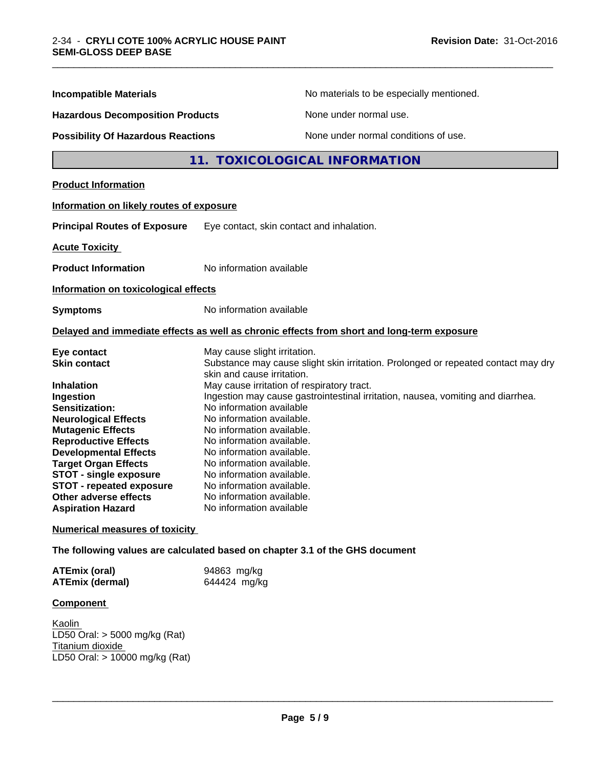| <b>Incompatible Materials</b>                                                                                                                                                                                                                                                                                                                                            | No materials to be especially mentioned.                                                                                                                                                                                                                                                                                                                                                                                                                                                                                                                                         |
|--------------------------------------------------------------------------------------------------------------------------------------------------------------------------------------------------------------------------------------------------------------------------------------------------------------------------------------------------------------------------|----------------------------------------------------------------------------------------------------------------------------------------------------------------------------------------------------------------------------------------------------------------------------------------------------------------------------------------------------------------------------------------------------------------------------------------------------------------------------------------------------------------------------------------------------------------------------------|
| <b>Hazardous Decomposition Products</b>                                                                                                                                                                                                                                                                                                                                  | None under normal use.                                                                                                                                                                                                                                                                                                                                                                                                                                                                                                                                                           |
| <b>Possibility Of Hazardous Reactions</b>                                                                                                                                                                                                                                                                                                                                | None under normal conditions of use.                                                                                                                                                                                                                                                                                                                                                                                                                                                                                                                                             |
|                                                                                                                                                                                                                                                                                                                                                                          | <b>TOXICOLOGICAL INFORMATION</b><br>11.                                                                                                                                                                                                                                                                                                                                                                                                                                                                                                                                          |
| <b>Product Information</b>                                                                                                                                                                                                                                                                                                                                               |                                                                                                                                                                                                                                                                                                                                                                                                                                                                                                                                                                                  |
| Information on likely routes of exposure                                                                                                                                                                                                                                                                                                                                 |                                                                                                                                                                                                                                                                                                                                                                                                                                                                                                                                                                                  |
| <b>Principal Routes of Exposure</b>                                                                                                                                                                                                                                                                                                                                      | Eye contact, skin contact and inhalation.                                                                                                                                                                                                                                                                                                                                                                                                                                                                                                                                        |
| <b>Acute Toxicity</b>                                                                                                                                                                                                                                                                                                                                                    |                                                                                                                                                                                                                                                                                                                                                                                                                                                                                                                                                                                  |
| <b>Product Information</b>                                                                                                                                                                                                                                                                                                                                               | No information available                                                                                                                                                                                                                                                                                                                                                                                                                                                                                                                                                         |
| Information on toxicological effects                                                                                                                                                                                                                                                                                                                                     |                                                                                                                                                                                                                                                                                                                                                                                                                                                                                                                                                                                  |
| <b>Symptoms</b>                                                                                                                                                                                                                                                                                                                                                          | No information available                                                                                                                                                                                                                                                                                                                                                                                                                                                                                                                                                         |
|                                                                                                                                                                                                                                                                                                                                                                          | Delayed and immediate effects as well as chronic effects from short and long-term exposure                                                                                                                                                                                                                                                                                                                                                                                                                                                                                       |
| Eye contact<br><b>Skin contact</b><br><b>Inhalation</b><br>Ingestion<br>Sensitization:<br><b>Neurological Effects</b><br><b>Mutagenic Effects</b><br><b>Reproductive Effects</b><br><b>Developmental Effects</b><br><b>Target Organ Effects</b><br><b>STOT - single exposure</b><br><b>STOT - repeated exposure</b><br>Other adverse effects<br><b>Aspiration Hazard</b> | May cause slight irritation.<br>Substance may cause slight skin irritation. Prolonged or repeated contact may dry<br>skin and cause irritation.<br>May cause irritation of respiratory tract.<br>Ingestion may cause gastrointestinal irritation, nausea, vomiting and diarrhea.<br>No information available<br>No information available.<br>No information available.<br>No information available.<br>No information available.<br>No information available.<br>No information available.<br>No information available.<br>No information available.<br>No information available |

\_\_\_\_\_\_\_\_\_\_\_\_\_\_\_\_\_\_\_\_\_\_\_\_\_\_\_\_\_\_\_\_\_\_\_\_\_\_\_\_\_\_\_\_\_\_\_\_\_\_\_\_\_\_\_\_\_\_\_\_\_\_\_\_\_\_\_\_\_\_\_\_\_\_\_\_\_\_\_\_\_\_\_\_\_\_\_\_\_\_\_\_\_

**Numerical measures of toxicity**

**The following values are calculated based on chapter 3.1 of the GHS document**

| <b>ATEmix (oral)</b>   | 94863 mg/kg  |
|------------------------|--------------|
| <b>ATEmix (dermal)</b> | 644424 mg/kg |

#### **Component**

Kaolin LD50 Oral: > 5000 mg/kg (Rat) Titanium dioxide LD50 Oral: > 10000 mg/kg (Rat)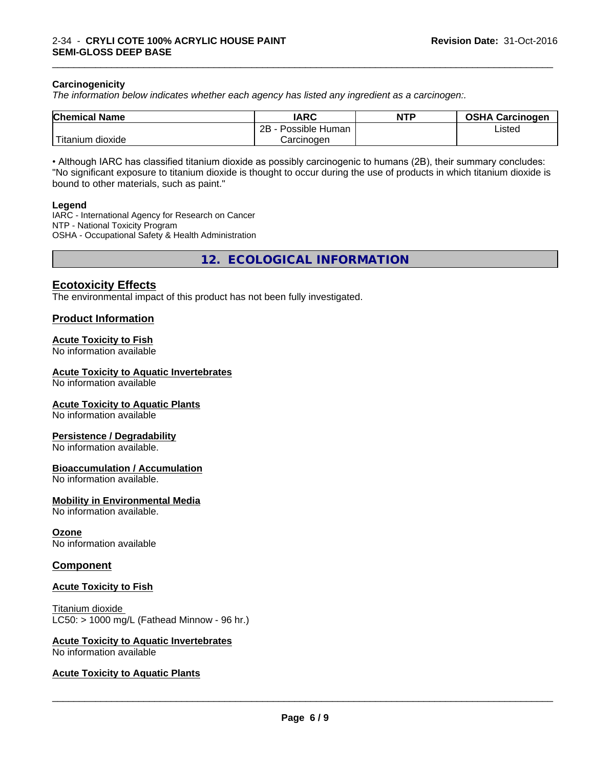#### **Carcinogenicity**

*The information below indicateswhether each agency has listed any ingredient as a carcinogen:.*

| <b>Chemical Name</b>     | <b>IARC</b>          | <b>NTP</b> | <b>OSHA Carcinogen</b> |
|--------------------------|----------------------|------------|------------------------|
|                          | 2B<br>Possible Human |            | Listed                 |
| $-1$<br>Fitanium dioxide | Carcinogen           |            |                        |

\_\_\_\_\_\_\_\_\_\_\_\_\_\_\_\_\_\_\_\_\_\_\_\_\_\_\_\_\_\_\_\_\_\_\_\_\_\_\_\_\_\_\_\_\_\_\_\_\_\_\_\_\_\_\_\_\_\_\_\_\_\_\_\_\_\_\_\_\_\_\_\_\_\_\_\_\_\_\_\_\_\_\_\_\_\_\_\_\_\_\_\_\_

• Although IARC has classified titanium dioxide as possibly carcinogenic to humans (2B), their summary concludes: "No significant exposure to titanium dioxide is thought to occur during the use of products in which titanium dioxide is bound to other materials, such as paint."

#### **Legend**

IARC - International Agency for Research on Cancer NTP - National Toxicity Program OSHA - Occupational Safety & Health Administration

**12. ECOLOGICAL INFORMATION**

## **Ecotoxicity Effects**

The environmental impact of this product has not been fully investigated.

#### **Product Information**

#### **Acute Toxicity to Fish**

No information available

#### **Acute Toxicity to Aquatic Invertebrates**

No information available

#### **Acute Toxicity to Aquatic Plants**

No information available

#### **Persistence / Degradability**

No information available.

#### **Bioaccumulation / Accumulation**

No information available.

#### **Mobility in Environmental Media**

No information available.

#### **Ozone**

No information available

#### **Component**

#### **Acute Toxicity to Fish**

Titanium dioxide  $LC50:$  > 1000 mg/L (Fathead Minnow - 96 hr.)

#### **Acute Toxicity to Aquatic Invertebrates**

No information available

#### **Acute Toxicity to Aquatic Plants**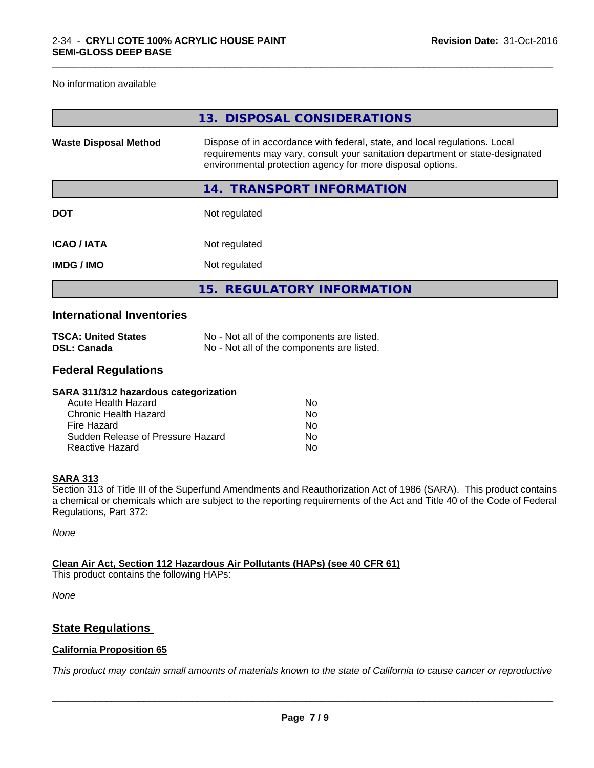No information available

|                              | 13. DISPOSAL CONSIDERATIONS                                                                                                                                                                                               |
|------------------------------|---------------------------------------------------------------------------------------------------------------------------------------------------------------------------------------------------------------------------|
| <b>Waste Disposal Method</b> | Dispose of in accordance with federal, state, and local regulations. Local<br>requirements may vary, consult your sanitation department or state-designated<br>environmental protection agency for more disposal options. |
|                              | 14. TRANSPORT INFORMATION                                                                                                                                                                                                 |
| <b>DOT</b>                   | Not regulated                                                                                                                                                                                                             |
| <b>ICAO/IATA</b>             | Not regulated                                                                                                                                                                                                             |
| <b>IMDG/IMO</b>              | Not regulated                                                                                                                                                                                                             |
|                              | 15. REGULATORY INFORMATION                                                                                                                                                                                                |
|                              |                                                                                                                                                                                                                           |

\_\_\_\_\_\_\_\_\_\_\_\_\_\_\_\_\_\_\_\_\_\_\_\_\_\_\_\_\_\_\_\_\_\_\_\_\_\_\_\_\_\_\_\_\_\_\_\_\_\_\_\_\_\_\_\_\_\_\_\_\_\_\_\_\_\_\_\_\_\_\_\_\_\_\_\_\_\_\_\_\_\_\_\_\_\_\_\_\_\_\_\_\_

## **International Inventories**

| <b>TSCA: United States</b> | No - Not all of the components are listed. |
|----------------------------|--------------------------------------------|
| <b>DSL: Canada</b>         | No - Not all of the components are listed. |

## **Federal Regulations**

| SARA 311/312 hazardous categorization |    |  |
|---------------------------------------|----|--|
| Acute Health Hazard                   | Nο |  |
| Chronic Health Hazard                 | Nο |  |
| Fire Hazard                           | Nο |  |
| Sudden Release of Pressure Hazard     | Nο |  |
| Reactive Hazard                       | No |  |

#### **SARA 313**

Section 313 of Title III of the Superfund Amendments and Reauthorization Act of 1986 (SARA). This product contains a chemical or chemicals which are subject to the reporting requirements of the Act and Title 40 of the Code of Federal Regulations, Part 372:

*None*

## **Clean Air Act,Section 112 Hazardous Air Pollutants (HAPs) (see 40 CFR 61)**

This product contains the following HAPs:

*None*

## **State Regulations**

#### **California Proposition 65**

This product may contain small amounts of materials known to the state of California to cause cancer or reproductive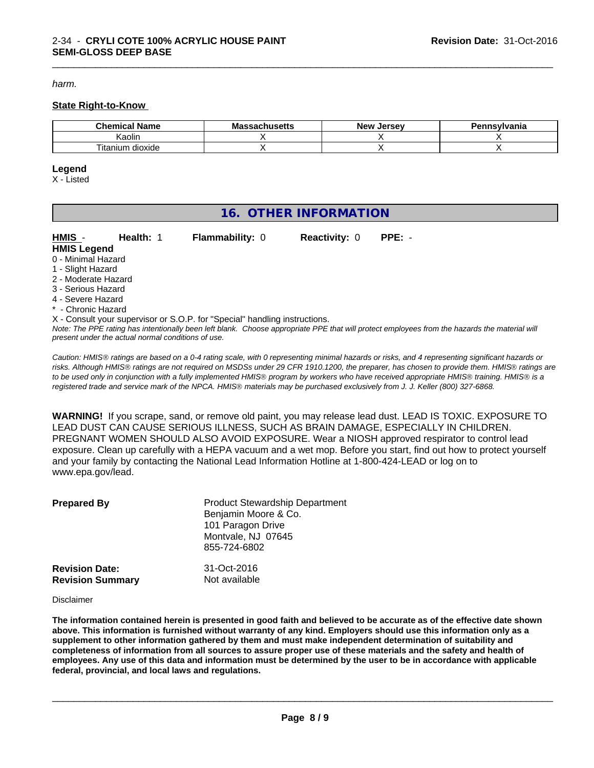*harm.*

#### **State Right-to-Know**

| Chemical<br>' Name          | .<br>Мi<br>นแนวចแว | Jersev<br><b>Nev</b><br> | าnsvlvania<br>. |
|-----------------------------|--------------------|--------------------------|-----------------|
| Kaolin                      |                    |                          |                 |
| ÷.<br>dioxide<br>l itanium. |                    |                          |                 |

\_\_\_\_\_\_\_\_\_\_\_\_\_\_\_\_\_\_\_\_\_\_\_\_\_\_\_\_\_\_\_\_\_\_\_\_\_\_\_\_\_\_\_\_\_\_\_\_\_\_\_\_\_\_\_\_\_\_\_\_\_\_\_\_\_\_\_\_\_\_\_\_\_\_\_\_\_\_\_\_\_\_\_\_\_\_\_\_\_\_\_\_\_

#### **Legend**

X - Listed

## **16. OTHER INFORMATION**

**HMIS** - **Health:** 1 **Flammability:** 0 **Reactivity:** 0 **PPE:** - **HMIS Legend**

- 0 Minimal Hazard 1 - Slight Hazard
- 
- 2 Moderate Hazard
- 3 Serious Hazard 4 - Severe Hazard
- **Chronic Hazard**
- X Consult your supervisor or S.O.P. for "Special" handling instructions.

*Note: The PPE rating has intentionally been left blank. Choose appropriate PPE that will protect employees from the hazards the material will present under the actual normal conditions of use.*

*Caution: HMISÒ ratings are based on a 0-4 rating scale, with 0 representing minimal hazards or risks, and 4 representing significant hazards or risks. Although HMISÒ ratings are not required on MSDSs under 29 CFR 1910.1200, the preparer, has chosen to provide them. HMISÒ ratings are to be used only in conjunction with a fully implemented HMISÒ program by workers who have received appropriate HMISÒ training. HMISÒ is a registered trade and service mark of the NPCA. HMISÒ materials may be purchased exclusively from J. J. Keller (800) 327-6868.*

**WARNING!** If you scrape, sand, or remove old paint, you may release lead dust. LEAD IS TOXIC. EXPOSURE TO LEAD DUST CAN CAUSE SERIOUS ILLNESS, SUCH AS BRAIN DAMAGE, ESPECIALLY IN CHILDREN. PREGNANT WOMEN SHOULD ALSO AVOID EXPOSURE.Wear a NIOSH approved respirator to control lead exposure. Clean up carefully with a HEPA vacuum and a wet mop. Before you start, find out how to protect yourself and your family by contacting the National Lead Information Hotline at 1-800-424-LEAD or log on to www.epa.gov/lead.

| <b>Prepared By</b>      | <b>Product Stewardship Department</b><br>Benjamin Moore & Co.<br>101 Paragon Drive<br>Montvale, NJ 07645<br>855-724-6802 |
|-------------------------|--------------------------------------------------------------------------------------------------------------------------|
| <b>Revision Date:</b>   | 31-Oct-2016                                                                                                              |
| <b>Revision Summary</b> | Not available                                                                                                            |

#### Disclaimer

The information contained herein is presented in good faith and believed to be accurate as of the effective date shown above. This information is furnished without warranty of any kind. Employers should use this information only as a **supplement to other information gathered by them and must make independent determination of suitability and** completeness of information from all sources to assure proper use of these materials and the safety and health of employees. Any use of this data and information must be determined by the user to be in accordance with applicable **federal, provincial, and local laws and regulations.**